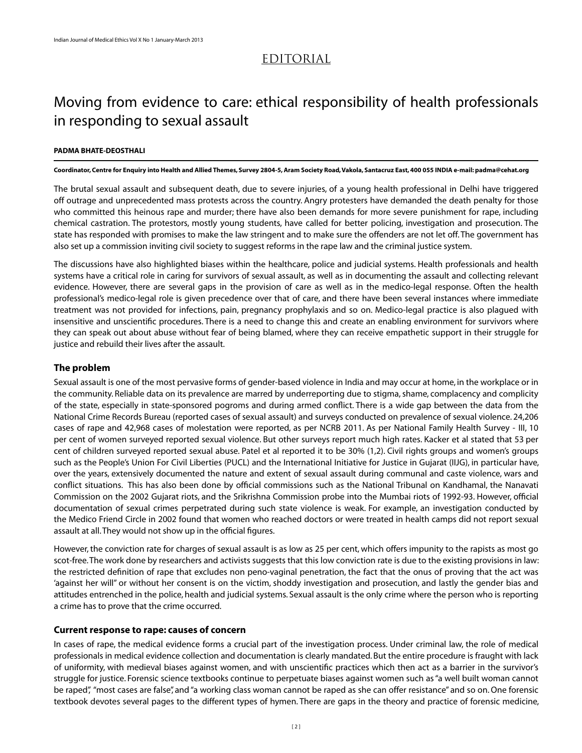## Editorial

# Moving from evidence to care: ethical responsibility of health professionals in responding to sexual assault

#### **Padma Bhate-Deosthali**

Coordinator, Centre for Enquiry into Health and Allied Themes, Survey 2804-5, Aram Society Road, Vakola, Santacruz East, 400 055 INDIA e-mail: padma@cehat.org

The brutal sexual assault and subsequent death, due to severe injuries, of a young health professional in Delhi have triggered off outrage and unprecedented mass protests across the country. Angry protesters have demanded the death penalty for those who committed this heinous rape and murder; there have also been demands for more severe punishment for rape, including chemical castration. The protestors, mostly young students, have called for better policing, investigation and prosecution. The state has responded with promises to make the law stringent and to make sure the offenders are not let off. The government has also set up a commission inviting civil society to suggest reforms in the rape law and the criminal justice system.

The discussions have also highlighted biases within the healthcare, police and judicial systems. Health professionals and health systems have a critical role in caring for survivors of sexual assault, as well as in documenting the assault and collecting relevant evidence. However, there are several gaps in the provision of care as well as in the medico-legal response. Often the health professional's medico-legal role is given precedence over that of care, and there have been several instances where immediate treatment was not provided for infections, pain, pregnancy prophylaxis and so on. Medico-legal practice is also plagued with insensitive and unscientific procedures. There is a need to change this and create an enabling environment for survivors where they can speak out about abuse without fear of being blamed, where they can receive empathetic support in their struggle for justice and rebuild their lives after the assault.

### **The problem**

Sexual assault is one of the most pervasive forms of gender-based violence in India and may occur at home, in the workplace or in the community. Reliable data on its prevalence are marred by underreporting due to stigma, shame, complacency and complicity of the state, especially in state-sponsored pogroms and during armed conflict. There is a wide gap between the data from the National Crime Records Bureau (reported cases of sexual assault) and surveys conducted on prevalence of sexual violence. 24,206 cases of rape and 42,968 cases of molestation were reported, as per NCRB 2011. As per National Family Health Survey - III, 10 per cent of women surveyed reported sexual violence. But other surveys report much high rates. Kacker et al stated that 53 per cent of children surveyed reported sexual abuse. Patel et al reported it to be 30% (1,2). Civil rights groups and women's groups such as the People's Union For Civil Liberties (PUCL) and the International Initiative for Justice in Gujarat (IIJG), in particular have, over the years, extensively documented the nature and extent of sexual assault during communal and caste violence, wars and conflict situations. This has also been done by official commissions such as the National Tribunal on Kandhamal, the Nanavati Commission on the 2002 Gujarat riots, and the Srikrishna Commission probe into the Mumbai riots of 1992-93. However, official documentation of sexual crimes perpetrated during such state violence is weak. For example, an investigation conducted by the Medico Friend Circle in 2002 found that women who reached doctors or were treated in health camps did not report sexual assault at all. They would not show up in the official figures.

However, the conviction rate for charges of sexual assault is as low as 25 per cent, which offers impunity to the rapists as most go scot-free. The work done by researchers and activists suggests that this low conviction rate is due to the existing provisions in law: the restricted definition of rape that excludes non peno-vaginal penetration, the fact that the onus of proving that the act was 'against her will" or without her consent is on the victim, shoddy investigation and prosecution, and lastly the gender bias and attitudes entrenched in the police, health and judicial systems. Sexual assault is the only crime where the person who is reporting a crime has to prove that the crime occurred.

### **Current response to rape: causes of concern**

In cases of rape, the medical evidence forms a crucial part of the investigation process. Under criminal law, the role of medical professionals in medical evidence collection and documentation is clearly mandated. But the entire procedure is fraught with lack of uniformity, with medieval biases against women, and with unscientific practices which then act as a barrier in the survivor's struggle for justice. Forensic science textbooks continue to perpetuate biases against women such as "a well built woman cannot be raped", "most cases are false", and "a working class woman cannot be raped as she can offer resistance" and so on. One forensic textbook devotes several pages to the different types of hymen. There are gaps in the theory and practice of forensic medicine,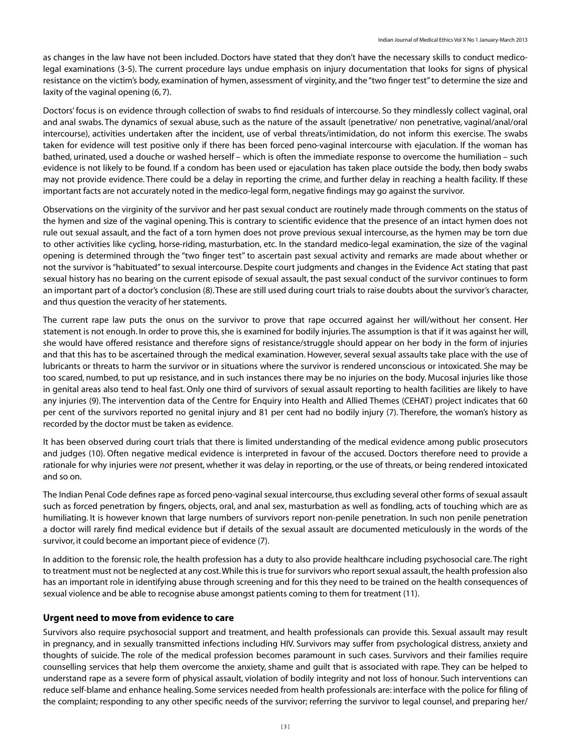as changes in the law have not been included. Doctors have stated that they don't have the necessary skills to conduct medicolegal examinations (3-5). The current procedure lays undue emphasis on injury documentation that looks for signs of physical resistance on the victim's body, examination of hymen, assessment of virginity, and the "two finger test" to determine the size and laxity of the vaginal opening (6, 7).

Doctors' focus is on evidence through collection of swabs to find residuals of intercourse. So they mindlessly collect vaginal, oral and anal swabs. The dynamics of sexual abuse, such as the nature of the assault (penetrative/ non penetrative, vaginal/anal/oral intercourse), activities undertaken after the incident, use of verbal threats/intimidation, do not inform this exercise. The swabs taken for evidence will test positive only if there has been forced peno-vaginal intercourse with ejaculation. If the woman has bathed, urinated, used a douche or washed herself – which is often the immediate response to overcome the humiliation – such evidence is not likely to be found. If a condom has been used or ejaculation has taken place outside the body, then body swabs may not provide evidence. There could be a delay in reporting the crime, and further delay in reaching a health facility. If these important facts are not accurately noted in the medico-legal form, negative findings may go against the survivor.

Observations on the virginity of the survivor and her past sexual conduct are routinely made through comments on the status of the hymen and size of the vaginal opening. This is contrary to scientific evidence that the presence of an intact hymen does not rule out sexual assault, and the fact of a torn hymen does not prove previous sexual intercourse, as the hymen may be torn due to other activities like cycling, horse-riding, masturbation, etc. In the standard medico-legal examination, the size of the vaginal opening is determined through the "two finger test" to ascertain past sexual activity and remarks are made about whether or not the survivor is "habituated" to sexual intercourse. Despite court judgments and changes in the Evidence Act stating that past sexual history has no bearing on the current episode of sexual assault, the past sexual conduct of the survivor continues to form an important part of a doctor's conclusion (8). These are still used during court trials to raise doubts about the survivor's character, and thus question the veracity of her statements.

The current rape law puts the onus on the survivor to prove that rape occurred against her will/without her consent. Her statement is not enough. In order to prove this, she is examined for bodily injuries. The assumption is that if it was against her will, she would have offered resistance and therefore signs of resistance/struggle should appear on her body in the form of injuries and that this has to be ascertained through the medical examination. However, several sexual assaults take place with the use of lubricants or threats to harm the survivor or in situations where the survivor is rendered unconscious or intoxicated. She may be too scared, numbed, to put up resistance, and in such instances there may be no injuries on the body. Mucosal injuries like those in genital areas also tend to heal fast. Only one third of survivors of sexual assault reporting to health facilities are likely to have any injuries (9). The intervention data of the Centre for Enquiry into Health and Allied Themes (CEHAT) project indicates that 60 per cent of the survivors reported no genital injury and 81 per cent had no bodily injury (7). Therefore, the woman's history as recorded by the doctor must be taken as evidence.

It has been observed during court trials that there is limited understanding of the medical evidence among public prosecutors and judges (10). Often negative medical evidence is interpreted in favour of the accused. Doctors therefore need to provide a rationale for why injuries were *not* present, whether it was delay in reporting, or the use of threats, or being rendered intoxicated and so on.

The Indian Penal Code defines rape as forced peno-vaginal sexual intercourse, thus excluding several other forms of sexual assault such as forced penetration by fingers, objects, oral, and anal sex, masturbation as well as fondling, acts of touching which are as humiliating. It is however known that large numbers of survivors report non-penile penetration. In such non penile penetration a doctor will rarely find medical evidence but if details of the sexual assault are documented meticulously in the words of the survivor, it could become an important piece of evidence (7).

In addition to the forensic role, the health profession has a duty to also provide healthcare including psychosocial care. The right to treatment must not be neglected at any cost. While this is true for survivors who report sexual assault, the health profession also has an important role in identifying abuse through screening and for this they need to be trained on the health consequences of sexual violence and be able to recognise abuse amongst patients coming to them for treatment (11).

### **Urgent need to move from evidence to care**

Survivors also require psychosocial support and treatment, and health professionals can provide this. Sexual assault may result in pregnancy, and in sexually transmitted infections including HIV. Survivors may suffer from psychological distress, anxiety and thoughts of suicide. The role of the medical profession becomes paramount in such cases. Survivors and their families require counselling services that help them overcome the anxiety, shame and guilt that is associated with rape. They can be helped to understand rape as a severe form of physical assault, violation of bodily integrity and not loss of honour. Such interventions can reduce self-blame and enhance healing. Some services needed from health professionals are: interface with the police for filing of the complaint; responding to any other specific needs of the survivor; referring the survivor to legal counsel, and preparing her/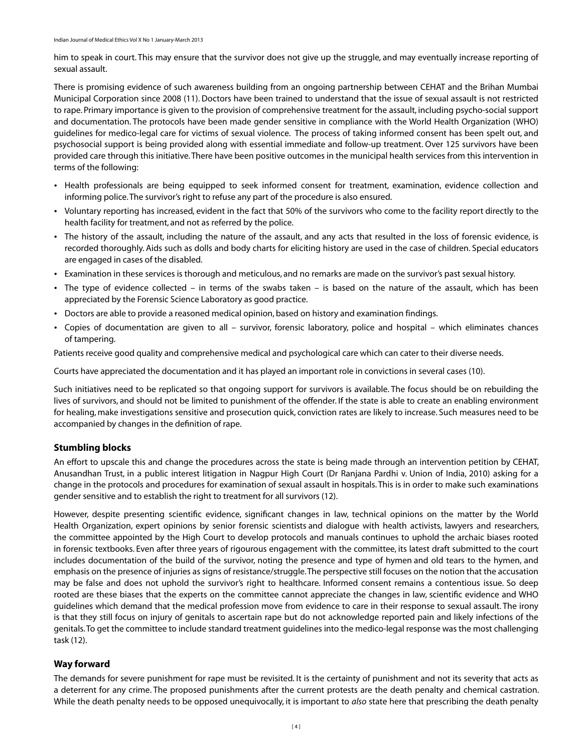him to speak in court. This may ensure that the survivor does not give up the struggle, and may eventually increase reporting of sexual assault.

There is promising evidence of such awareness building from an ongoing partnership between CEHAT and the Brihan Mumbai Municipal Corporation since 2008 (11). Doctors have been trained to understand that the issue of sexual assault is not restricted to rape. Primary importance is given to the provision of comprehensive treatment for the assault, including psycho-social support and documentation. The protocols have been made gender sensitive in compliance with the World Health Organization (WHO) guidelines for medico-legal care for victims of sexual violence. The process of taking informed consent has been spelt out, and psychosocial support is being provided along with essential immediate and follow-up treatment. Over 125 survivors have been provided care through this initiative. There have been positive outcomes in the municipal health services from this intervention in terms of the following:

- Health professionals are being equipped to seek informed consent for treatment, examination, evidence collection and informing police. The survivor's right to refuse any part of the procedure is also ensured.
- Voluntary reporting has increased, evident in the fact that 50% of the survivors who come to the facility report directly to the ü health facility for treatment, and not as referred by the police.
- The history of the assault, including the nature of the assault, and any acts that resulted in the loss of forensic evidence, is ü recorded thoroughly. Aids such as dolls and body charts for eliciting history are used in the case of children. Special educators are engaged in cases of the disabled.
- Examination in these services is thorough and meticulous, and no remarks are made on the survivor's past sexual history. ü
- The type of evidence collected in terms of the swabs taken is based on the nature of the assault, which has been ü appreciated by the Forensic Science Laboratory as good practice.
- Doctors are able to provide a reasoned medical opinion, based on history and examination findings. ü
- Copies of documentation are given to all survivor, forensic laboratory, police and hospital which eliminates chances of tampering.

Patients receive good quality and comprehensive medical and psychological care which can cater to their diverse needs.

Courts have appreciated the documentation and it has played an important role in convictions in several cases (10).

Such initiatives need to be replicated so that ongoing support for survivors is available. The focus should be on rebuilding the lives of survivors, and should not be limited to punishment of the offender. If the state is able to create an enabling environment for healing, make investigations sensitive and prosecution quick, conviction rates are likely to increase. Such measures need to be accompanied by changes in the definition of rape.

### **Stumbling blocks**

An effort to upscale this and change the procedures across the state is being made through an intervention petition by CEHAT, Anusandhan Trust, in a public interest litigation in Nagpur High Court (Dr Ranjana Pardhi v. Union of India, 2010) asking for a change in the protocols and procedures for examination of sexual assault in hospitals. This is in order to make such examinations gender sensitive and to establish the right to treatment for all survivors (12).

However, despite presenting scientific evidence, significant changes in law, technical opinions on the matter by the World Health Organization, expert opinions by senior forensic scientists and dialogue with health activists, lawyers and researchers, the committee appointed by the High Court to develop protocols and manuals continues to uphold the archaic biases rooted in forensic textbooks. Even after three years of rigourous engagement with the committee, its latest draft submitted to the court includes documentation of the build of the survivor, noting the presence and type of hymen and old tears to the hymen, and emphasis on the presence of injuries as signs of resistance/struggle. The perspective still focuses on the notion that the accusation may be false and does not uphold the survivor's right to healthcare. Informed consent remains a contentious issue. So deep rooted are these biases that the experts on the committee cannot appreciate the changes in law, scientific evidence and WHO guidelines which demand that the medical profession move from evidence to care in their response to sexual assault. The irony is that they still focus on injury of genitals to ascertain rape but do not acknowledge reported pain and likely infections of the genitals. To get the committee to include standard treatment guidelines into the medico-legal response was the most challenging task (12).

### **Way forward**

The demands for severe punishment for rape must be revisited. It is the certainty of punishment and not its severity that acts as a deterrent for any crime. The proposed punishments after the current protests are the death penalty and chemical castration. While the death penalty needs to be opposed unequivocally, it is important to *also* state here that prescribing the death penalty